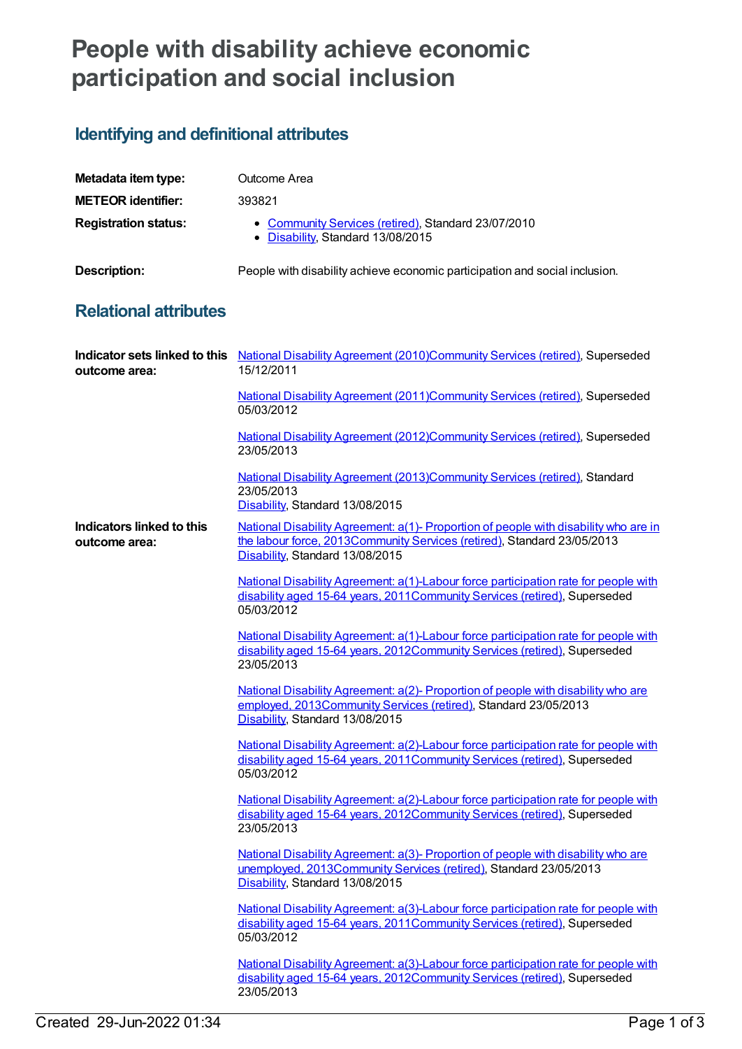## **People with disability achieve economic participation and social inclusion**

## **Identifying and definitional attributes**

| Metadata item type:         | Outcome Area                                                                             |
|-----------------------------|------------------------------------------------------------------------------------------|
| <b>METEOR identifier:</b>   | 393821                                                                                   |
| <b>Registration status:</b> | • Community Services (retired), Standard 23/07/2010<br>• Disability, Standard 13/08/2015 |
| <b>Description:</b>         | People with disability achieve economic participation and social inclusion.              |

## **Relational attributes**

| outcome area:                              | Indicator sets linked to this National Disability Agreement (2010)Community Services (retired), Superseded<br>15/12/2011                                                                           |
|--------------------------------------------|----------------------------------------------------------------------------------------------------------------------------------------------------------------------------------------------------|
|                                            | National Disability Agreement (2011) Community Services (retired), Superseded<br>05/03/2012                                                                                                        |
|                                            | National Disability Agreement (2012)Community Services (retired), Superseded<br>23/05/2013                                                                                                         |
|                                            | National Disability Agreement (2013)Community Services (retired), Standard<br>23/05/2013<br>Disability, Standard 13/08/2015                                                                        |
| Indicators linked to this<br>outcome area: | National Disability Agreement: a(1)- Proportion of people with disability who are in<br>the labour force, 2013Community Services (retired), Standard 23/05/2013<br>Disability, Standard 13/08/2015 |
|                                            | National Disability Agreement: a(1)-Labour force participation rate for people with<br>disability aged 15-64 years, 2011Community Services (retired), Superseded<br>05/03/2012                     |
|                                            | National Disability Agreement: a(1)-Labour force participation rate for people with<br>disability aged 15-64 years, 2012Community Services (retired), Superseded<br>23/05/2013                     |
|                                            | National Disability Agreement: a(2)- Proportion of people with disability who are<br>employed, 2013Community Services (retired), Standard 23/05/2013<br>Disability, Standard 13/08/2015            |
|                                            | National Disability Agreement: a(2)-Labour force participation rate for people with<br>disability aged 15-64 years, 2011Community Services (retired), Superseded<br>05/03/2012                     |
|                                            | National Disability Agreement: a(2)-Labour force participation rate for people with<br>disability aged 15-64 years, 2012Community Services (retired), Superseded<br>23/05/2013                     |
|                                            | National Disability Agreement: a(3)- Proportion of people with disability who are<br>unemployed, 2013Community Services (retired), Standard 23/05/2013<br>Disability, Standard 13/08/2015          |
|                                            | National Disability Agreement: a(3)-Labour force participation rate for people with<br>disability aged 15-64 years, 2011 Community Services (retired), Superseded<br>05/03/2012                    |
|                                            | National Disability Agreement: a(3)-Labour force participation rate for people with<br>disability aged 15-64 years, 2012Community Services (retired), Superseded<br>23/05/2013                     |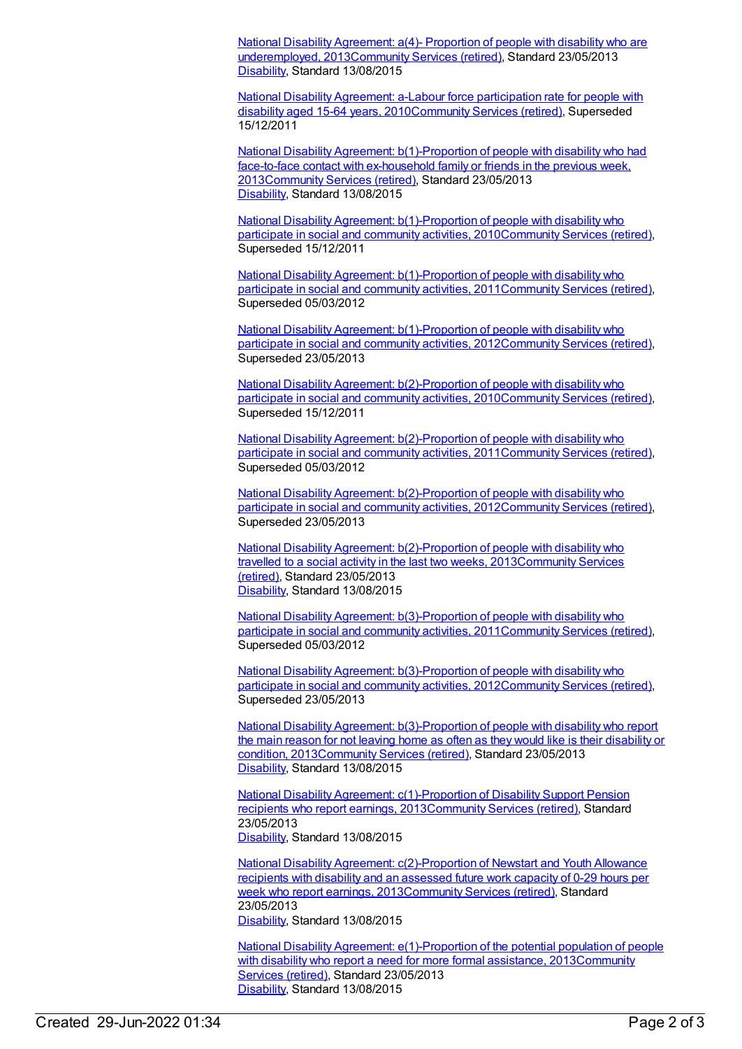National Disability Agreement: a(4)- Proportion of people with disability who are underemployed, [2013Community](https://meteor.aihw.gov.au/content/514824) Services (retired), Standard 23/05/2013 [Disability](https://meteor.aihw.gov.au/RegistrationAuthority/16), Standard 13/08/2015

National Disability Agreement: a-Labour force participation rate for people with disability aged 15-64 years, [2010Community](https://meteor.aihw.gov.au/content/393816) Services (retired), Superseded 15/12/2011

National Disability Agreement: [b\(1\)-Proportion](https://meteor.aihw.gov.au/content/491931) of people with disability who had face-to-face contact with ex-household family or friends in the previous week, 201[3Community](https://meteor.aihw.gov.au/RegistrationAuthority/1) Services (retired), Standard 23/05/2013 [Disability](https://meteor.aihw.gov.au/RegistrationAuthority/16), Standard 13/08/2015

National Disability Agreement: [b\(1\)-Proportion](https://meteor.aihw.gov.au/content/393834) of people with disability who participate in social and community activities, 201[0Community](https://meteor.aihw.gov.au/RegistrationAuthority/1) Services (retired), Superseded 15/12/2011

National Disability Agreement: [b\(1\)-Proportion](https://meteor.aihw.gov.au/content/428735) of people with disability who participate in social and community activities, 201[1Community](https://meteor.aihw.gov.au/RegistrationAuthority/1) Services (retired), Superseded 05/03/2012

National Disability Agreement: [b\(1\)-Proportion](https://meteor.aihw.gov.au/content/467834) of people with disability who participate in social and community activities, 201[2Community](https://meteor.aihw.gov.au/RegistrationAuthority/1) Services (retired), Superseded 23/05/2013

National Disability Agreement: [b\(2\)-Proportion](https://meteor.aihw.gov.au/content/393876) of people with disability who participate in social and community activities, 201[0Community](https://meteor.aihw.gov.au/RegistrationAuthority/1) Services (retired), Superseded 15/12/2011

National Disability Agreement: [b\(2\)-Proportion](https://meteor.aihw.gov.au/content/428738) of people with disability who participate in social and community activities, 201[1Community](https://meteor.aihw.gov.au/RegistrationAuthority/1) Services (retired), Superseded 05/03/2012

National Disability Agreement: [b\(2\)-Proportion](https://meteor.aihw.gov.au/content/475220) of people with disability who participate in social and community activities, 201[2Community](https://meteor.aihw.gov.au/RegistrationAuthority/1) Services (retired), Superseded 23/05/2013

National Disability Agreement: [b\(2\)-Proportion](https://meteor.aihw.gov.au/content/491933) of people with disability who travelled to a social activity in the last two weeks, [2013Community](https://meteor.aihw.gov.au/RegistrationAuthority/1) Services (retired), Standard 23/05/2013 [Disability](https://meteor.aihw.gov.au/RegistrationAuthority/16), Standard 13/08/2015

National Disability Agreement: [b\(3\)-Proportion](https://meteor.aihw.gov.au/content/445217) of people with disability who participate in social and community activities, 201[1Community](https://meteor.aihw.gov.au/RegistrationAuthority/1) Services (retired), Superseded 05/03/2012

National Disability Agreement: [b\(3\)-Proportion](https://meteor.aihw.gov.au/content/475222) of people with disability who participate in social and community activities, 201[2Community](https://meteor.aihw.gov.au/RegistrationAuthority/1) Services (retired), Superseded 23/05/2013

National Disability Agreement: [b\(3\)-Proportion](https://meteor.aihw.gov.au/content/491935) of people with disability who report the main reason for not leaving home as often as they would like is their disability or condition, 201[3Community](https://meteor.aihw.gov.au/RegistrationAuthority/1) Services (retired), Standard 23/05/2013 [Disability](https://meteor.aihw.gov.au/RegistrationAuthority/16), Standard 13/08/2015

National Disability Agreement: [c\(1\)-Proportion](https://meteor.aihw.gov.au/content/491937) of Disability Support Pension recipients who report earnings, 2013[Community](https://meteor.aihw.gov.au/RegistrationAuthority/1) Services (retired), Standard 23/05/2013 [Disability](https://meteor.aihw.gov.au/RegistrationAuthority/16), Standard 13/08/2015

National Disability Agreement: [c\(2\)-Proportion](https://meteor.aihw.gov.au/content/491939) of Newstart and Youth Allowance recipients with disability and an assessed future work capacity of 0-29 hours per week who report earnings, 201[3Community](https://meteor.aihw.gov.au/RegistrationAuthority/1) Services (retired), Standard 23/05/2013 [Disability](https://meteor.aihw.gov.au/RegistrationAuthority/16), Standard 13/08/2015

National Disability Agreement: [e\(1\)-Proportion](https://meteor.aihw.gov.au/content/491943) of the potential population of people with disability who report a need for more formal assistance, [2013Community](https://meteor.aihw.gov.au/RegistrationAuthority/1) Services (retired), Standard 23/05/2013 [Disability](https://meteor.aihw.gov.au/RegistrationAuthority/16), Standard 13/08/2015